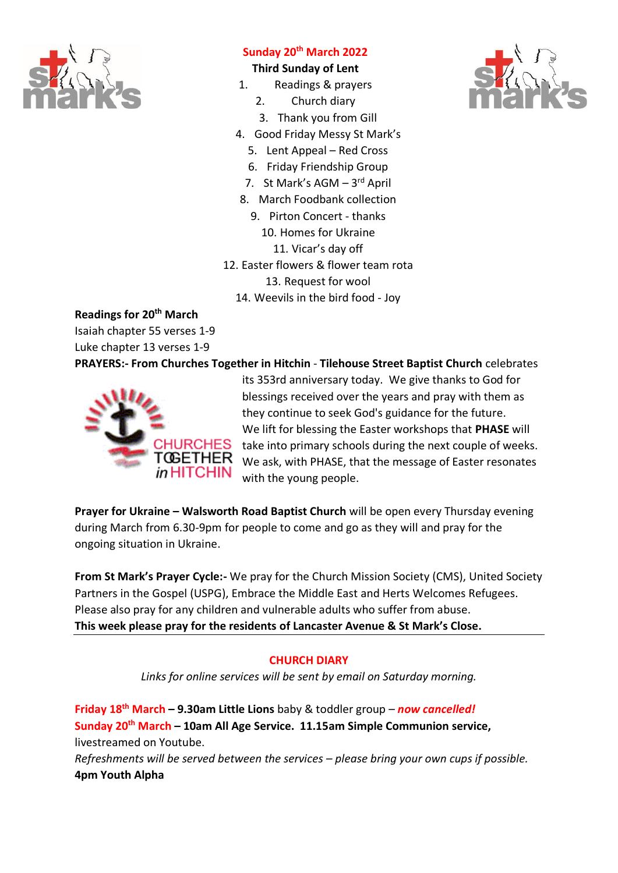

# **Sunday 20th March 2022**

# **Third Sunday of Lent**

- 1. Readings & prayers
	- 2. Church diary
	- 3. Thank you from Gill
- 4. Good Friday Messy St Mark's
	- 5. Lent Appeal Red Cross
	- 6. Friday Friendship Group
	- 7. St Mark's AGM 3rd April
- 8. March Foodbank collection
	- 9. Pirton Concert thanks
		- 10. Homes for Ukraine
			- 11. Vicar's day off
- 12. Easter flowers & flower team rota
	- 13. Request for wool
	- 14. Weevils in the bird food Joy

**Readings for 20th March**

Isaiah chapter 55 verses 1-9

Luke chapter 13 verses 1-9

**PRAYERS:- From Churches Together in Hitchin** - **Tilehouse Street Baptist Church** celebrates



its 353rd anniversary today. We give thanks to God for blessings received over the years and pray with them as they continue to seek God's guidance for the future. We lift for blessing the Easter workshops that **PHASE** will take into primary schools during the next couple of weeks. We ask, with PHASE, that the message of Easter resonates with the young people.

**Prayer for Ukraine – Walsworth Road Baptist Church will be open every Thursday evening** during March from 6.30-9pm for people to come and go as they will and pray for the ongoing situation in Ukraine.

**From St Mark's Prayer Cycle:-** We pray for the Church Mission Society (CMS), United Society Partners in the Gospel (USPG), Embrace the Middle East and Herts Welcomes Refugees. Please also pray for any children and vulnerable adults who suffer from abuse. **This week please pray for the residents of Lancaster Avenue & St Mark's Close.**

### **CHURCH DIARY**

*Links for online services will be sent by email on Saturday morning.*

**Friday 18th March – 9.30am Little Lions** baby & toddler group – *now cancelled!* **Sunday 20th March – 10am All Age Service. 11.15am Simple Communion service,**  livestreamed on Youtube. *Refreshments will be served between the services – please bring your own cups if possible.* **4pm Youth Alpha**

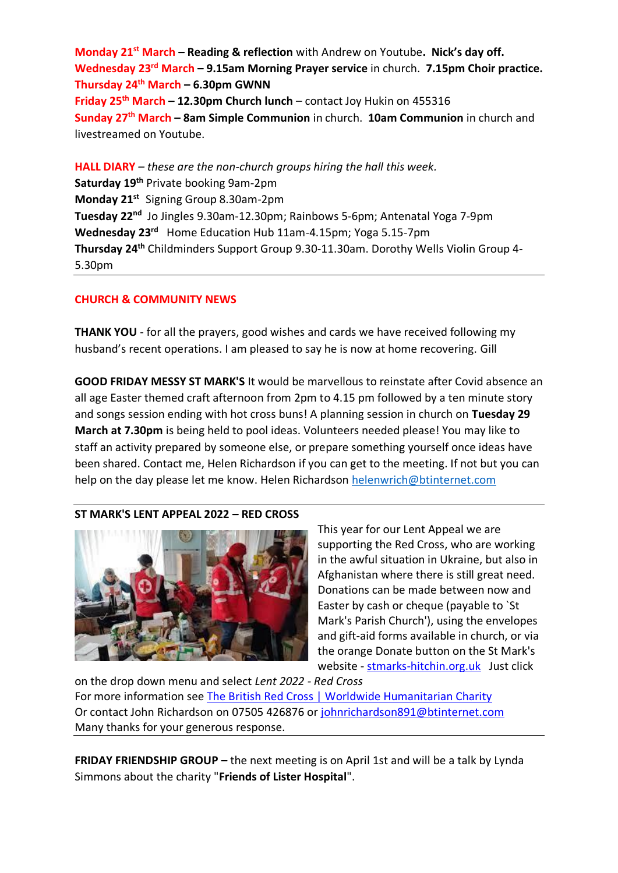**Monday 21st March – Reading & reflection** with Andrew on Youtube**. Nick's day off. Wednesday 23rd March – 9.15am Morning Prayer service** in church. **7.15pm Choir practice. Thursday 24th March – 6.30pm GWNN Friday 25th March – 12.30pm Church lunch** – contact Joy Hukin on 455316 **Sunday 27th March – 8am Simple Communion** in church. **10am Communion** in church and livestreamed on Youtube.

**HALL DIARY** *– these are the non-church groups hiring the hall this week.* **Saturday 19th** Private booking 9am-2pm **Monday 21st** Signing Group 8.30am-2pm **Tuesday 22nd** Jo Jingles 9.30am-12.30pm; Rainbows 5-6pm; Antenatal Yoga 7-9pm **Wednesday 23rd** Home Education Hub 11am-4.15pm; Yoga 5.15-7pm **Thursday 24th** Childminders Support Group 9.30-11.30am. Dorothy Wells Violin Group 4- 5.30pm

#### **CHURCH & COMMUNITY NEWS**

**THANK YOU** - for all the prayers, good wishes and cards we have received following my husband's recent operations. I am pleased to say he is now at home recovering. Gill

**GOOD FRIDAY MESSY ST MARK'S** It would be marvellous to reinstate after Covid absence an all age Easter themed craft afternoon from 2pm to 4.15 pm followed by a ten minute story and songs session ending with hot cross buns! A planning session in church on **Tuesday 29 March at 7.30pm** is being held to pool ideas. Volunteers needed please! You may like to staff an activity prepared by someone else, or prepare something yourself once ideas have been shared. Contact me, Helen Richardson if you can get to the meeting. If not but you can help on the day please let me know. Helen Richardson [helenwrich@btinternet.com](mailto:helenwrich@btinternet.com)

### **ST MARK'S LENT APPEAL 2022 – RED CROSS**



This year for our Lent Appeal we are supporting the Red Cross, who are working in the awful situation in Ukraine, but also in Afghanistan where there is still great need. Donations can be made between now and Easter by cash or cheque (payable to `St Mark's Parish Church'), using the envelopes and gift-aid forms available in church, or via the orange Donate button on the St Mark's website - [stmarks-hitchin.org.uk](http://www.stmarks-hitchin.org.uk/) Just click

on the drop down menu and select *Lent 2022 - Red Cross* For more information see [The British Red Cross | Worldwide Humanitarian Charity](https://www.redcross.org.uk/) Or contact John Richardson on 07505 426876 or [johnrichardson891@btinternet.com](mailto:johnrichardson891@btinternet.com) Many thanks for your generous response.

**FRIDAY FRIENDSHIP GROUP –** the next meeting is on April 1st and will be a talk by Lynda Simmons about the charity "**Friends of Lister Hospital**".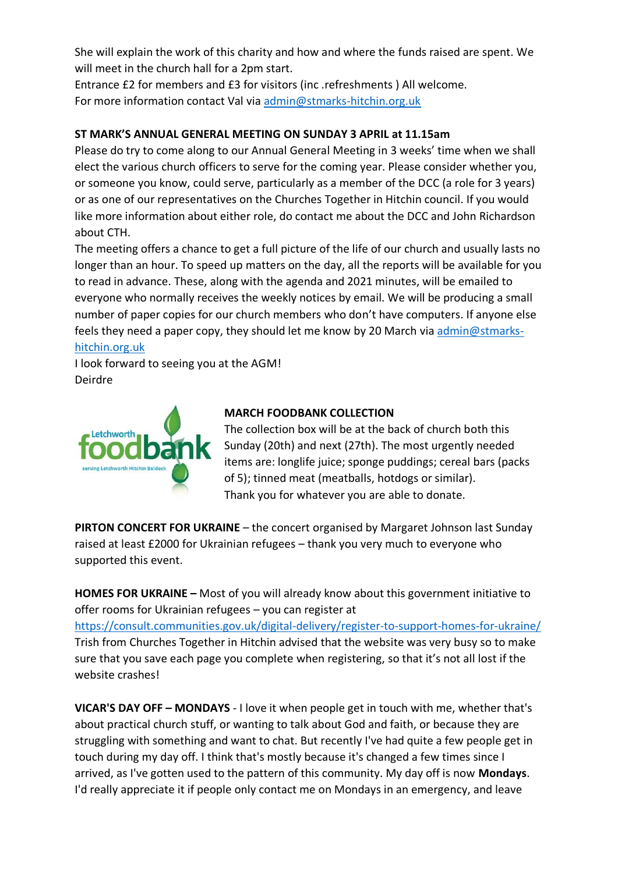She will explain the work of this charity and how and where the funds raised are spent. We will meet in the church hall for a 2pm start.

Entrance £2 for members and £3 for visitors (inc .refreshments ) All welcome. For more information contact Val via [admin@stmarks-hitchin.org.uk](mailto:admin@stmarks-hitchin.org.uk)

# **ST MARK'S ANNUAL GENERAL MEETING ON SUNDAY 3 APRIL at 11.15am**

Please do try to come along to our Annual General Meeting in 3 weeks' time when we shall elect the various church officers to serve for the coming year. Please consider whether you, or someone you know, could serve, particularly as a member of the DCC (a role for 3 years) or as one of our representatives on the Churches Together in Hitchin council. If you would like more information about either role, do contact me about the DCC and John Richardson about CTH.

The meeting offers a chance to get a full picture of the life of our church and usually lasts no longer than an hour. To speed up matters on the day, all the reports will be available for you to read in advance. These, along with the agenda and 2021 minutes, will be emailed to everyone who normally receives the weekly notices by email. We will be producing a small number of paper copies for our church members who don't have computers. If anyone else feels they need a paper copy, they should let me know by 20 March via [admin@stmarks](mailto:admin@stmarks-hitchin.org.uk)[hitchin.org.uk](mailto:admin@stmarks-hitchin.org.uk)

I look forward to seeing you at the AGM! Deirdre



### **MARCH FOODBANK COLLECTION**

The collection box will be at the back of church both this Sunday (20th) and next (27th). The most urgently needed items are: longlife juice; sponge puddings; cereal bars (packs of 5); tinned meat (meatballs, hotdogs or similar). Thank you for whatever you are able to donate.

**PIRTON CONCERT FOR UKRAINE** – the concert organised by Margaret Johnson last Sunday raised at least £2000 for Ukrainian refugees – thank you very much to everyone who supported this event.

**HOMES FOR UKRAINE –** Most of you will already know about this government initiative to offer rooms for Ukrainian refugees – you can register at <https://consult.communities.gov.uk/digital-delivery/register-to-support-homes-for-ukraine/> Trish from Churches Together in Hitchin advised that the website was very busy so to make sure that you save each page you complete when registering, so that it's not all lost if the website crashes!

**VICAR'S DAY OFF – MONDAYS** - I love it when people get in touch with me, whether that's about practical church stuff, or wanting to talk about God and faith, or because they are struggling with something and want to chat. But recently I've had quite a few people get in touch during my day off. I think that's mostly because it's changed a few times since I arrived, as I've gotten used to the pattern of this community. My day off is now **Mondays**. I'd really appreciate it if people only contact me on Mondays in an emergency, and leave